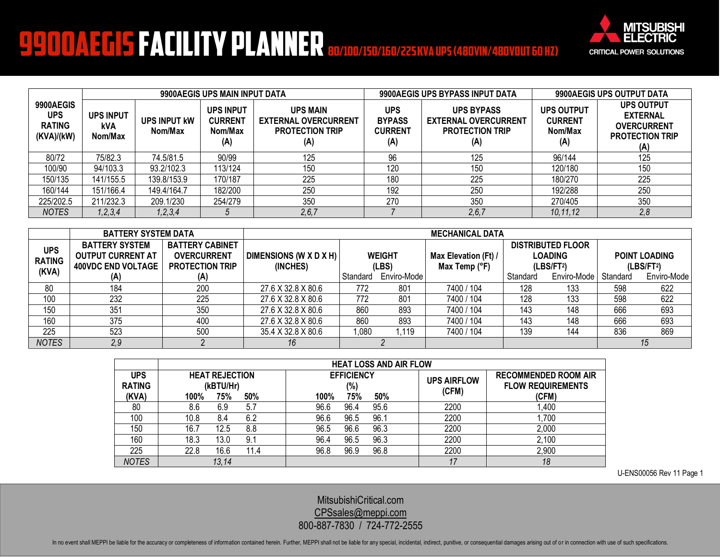## **9900AEGIS FACILITY PLANNER 80/100/150/160/225 KVA UPS (480VIN/480VOUT 60 HZ)**



|                                                        | 9900AEGIS UPS MAIN INPUT DATA      |                         |                                                      |                                                                                 | 9900AEGIS UPS BYPASS INPUT DATA                      |                                                                                   | 9900AEGIS UPS OUTPUT DATA                             |                                                                                             |
|--------------------------------------------------------|------------------------------------|-------------------------|------------------------------------------------------|---------------------------------------------------------------------------------|------------------------------------------------------|-----------------------------------------------------------------------------------|-------------------------------------------------------|---------------------------------------------------------------------------------------------|
| 9900AEGIS<br><b>UPS</b><br><b>RATING</b><br>(KVA)/(kW) | <b>UPS INPUT</b><br>kVA<br>Nom/Max | UPS INPUT KW<br>Nom/Max | <b>UPS INPUT</b><br><b>CURRENT</b><br>Nom/Max<br>(A) | <b>UPS MAIN</b><br><b>EXTERNAL OVERCURRENT</b><br><b>PROTECTION TRIP</b><br>(A) | <b>UPS</b><br><b>BYPASS</b><br><b>CURRENT</b><br>(A) | <b>UPS BYPASS</b><br><b>EXTERNAL OVERCURRENT</b><br><b>PROTECTION TRIP</b><br>(A) | <b>UPS OUTPUT</b><br><b>CURRENT</b><br>Nom/Max<br>(A) | <b>UPS OUTPUT</b><br><b>EXTERNAL</b><br><b>OVERCURRENT</b><br><b>PROTECTION TRIP</b><br>(A) |
| 80/72                                                  | 75/82.3                            | 74.5/81.5               | 90/99                                                | 125                                                                             | 96                                                   | 125                                                                               | 96/144                                                | 125                                                                                         |
| 100/90                                                 | 94/103.3                           | 93.2/102.3              | 113/124                                              | 150                                                                             | 120                                                  | 150                                                                               | 120/180                                               | 150                                                                                         |
| 150/135                                                | 141/155.5                          | 139.8/153.9             | 170/187                                              | 225                                                                             | 180                                                  | 225                                                                               | 180/270                                               | 225                                                                                         |
| 160/144                                                | 151/166.4                          | 149.4/164.7             | 182/200                                              | 250                                                                             | 192                                                  | 250                                                                               | 192/288                                               | 250                                                                                         |
| 225/202.5                                              | 211/232.3                          | 209.1/230               | 254/279                                              | 350                                                                             | 270                                                  | 350                                                                               | 270/405                                               | 350                                                                                         |
| <b>NOTES</b>                                           | 1, 2, 3, 4                         | 1, 2, 3, 4              |                                                      | 2, 6, 7                                                                         |                                                      | 2, 6, 7                                                                           | 10.11.12                                              | 2,8                                                                                         |

|                                      | <b>BATTERY SYSTEM DATA</b>                                                     | <b>MECHANICAL DATA</b>                                                 |                                    |          |                        |                                       |          |                                                                      |          |                                                |
|--------------------------------------|--------------------------------------------------------------------------------|------------------------------------------------------------------------|------------------------------------|----------|------------------------|---------------------------------------|----------|----------------------------------------------------------------------|----------|------------------------------------------------|
| <b>UPS</b><br><b>RATING</b><br>(KVA) | <b>BATTERY SYSTEM</b><br><b>OUTPUT CURRENT AT</b><br><b>400VDC END VOLTAGE</b> | <b>BATTERY CABINET</b><br><b>OVERCURRENT</b><br><b>PROTECTION TRIP</b> | DIMENSIONS (W X D X H)<br>(INCHES) |          | <b>WEIGHT</b><br>(LBS) | Max Elevation (Ft) /<br>Max Temp (°F) |          | <b>DISTRIBUTED FLOOR</b><br><b>LOADING</b><br>(LBS/FT <sup>2</sup> ) |          | <b>POINT LOADING</b><br>(LBS/FT <sup>2</sup> ) |
|                                      | (A)                                                                            |                                                                        |                                    | Standard | Enviro-Mode            |                                       | Standard | Enviro-Mode                                                          | Standard | Enviro-Mode                                    |
| 80                                   | 184                                                                            | 200                                                                    | 27.6 X 32.8 X 80.6                 | 772      | 801                    | 7400 / 104                            | 128      | 133                                                                  | 598      | 622                                            |
| 100                                  | 232                                                                            | 225                                                                    | 27.6 X 32.8 X 80.6                 | 772      | 801                    | 7400 / 104                            | 128      | 133                                                                  | 598      | 622                                            |
| 150                                  | 351                                                                            | 350                                                                    | 27.6 X 32.8 X 80.6                 | 860      | 893                    | 7400 / 104                            | 143      | 148                                                                  | 666      | 693                                            |
| 160                                  | 375                                                                            | 400                                                                    | 27.6 X 32.8 X 80.6                 | 860      | 893                    | 7400 / 104                            | 143      | 148                                                                  | 666      | 693                                            |
| 225                                  | 523                                                                            | 500                                                                    | 35.4 X 32.8 X 80.6                 | 0.080    | .119                   | 7400 / 104                            | 139      | 144                                                                  | 836      | 869                                            |
| <b>NOTES</b>                         | 2,9                                                                            |                                                                        | 16                                 |          |                        |                                       |          |                                                                      |          | 15                                             |

|                      | <b>HEAT LOSS AND AIR FLOW</b>      |                          |                             |                                                         |  |  |  |  |
|----------------------|------------------------------------|--------------------------|-----------------------------|---------------------------------------------------------|--|--|--|--|
| UPS<br><b>RATING</b> | <b>HEAT REJECTION</b><br>(kBTU/Hr) | <b>EFFICIENCY</b><br>(%) | <b>UPS AIRFLOW</b><br>(CFM) | <b>RECOMMENDED ROOM AIR</b><br><b>FLOW REQUIREMENTS</b> |  |  |  |  |
| (KVA)                | 100%<br>75%<br>50%                 | 75%<br>50%<br>100%       |                             | (CFM)                                                   |  |  |  |  |
| 80                   | 8.6<br>5.7<br>6.9                  | 96.6<br>95.6<br>96.4     | 2200                        | ,400                                                    |  |  |  |  |
| 100                  | 6.2<br>10.8<br>8.4                 | 96.1<br>96.6<br>96.5     | 2200                        | ,700                                                    |  |  |  |  |
| 150                  | 16.7<br>8.8<br>12.5                | 96.3<br>96.5<br>96.6     | 2200                        | 2,000                                                   |  |  |  |  |
| 160                  | 18.3<br>9.1<br>13.0                | 96.3<br>96.4<br>96.5     | 2200                        | 2,100                                                   |  |  |  |  |
| 225                  | 22.8<br>16.6<br>11.4               | 96.8<br>96.8<br>96.9     | 2200                        | 2,900                                                   |  |  |  |  |
| <b>NOTES</b>         | 13,14                              |                          | 17                          | 18                                                      |  |  |  |  |

U-ENS00056 Rev 11 Page 1

[MitsubishiCritical.com](http://www.mitsubishicritical.com/) [CPSsales@meppi.com](mailto:CPSsales@meppi.com) 800-887-7830 / 724-772-2555